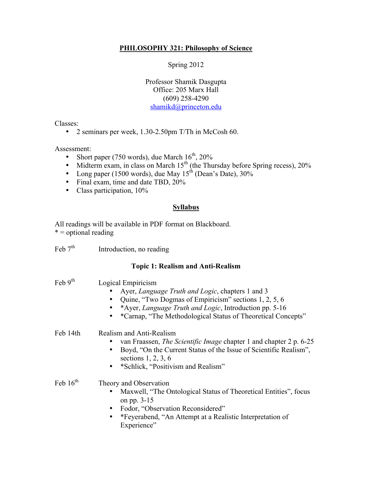## **PHILOSOPHY 321: Philosophy of Science**

Spring 2012

Professor Shamik Dasgupta Office: 205 Marx Hall (609) 258-4290 shamikd@princeton.edu

Classes:

• 2 seminars per week, 1.30-2.50pm T/Th in McCosh 60.

Assessment:

- Short paper (750 words), due March  $16^{th}$ , 20%
- Midterm exam, in class on March  $15<sup>th</sup>$  (the Thursday before Spring recess), 20%
- Long paper (1500 words), due May  $15<sup>th</sup>$  (Dean's Date), 30%
- Final exam, time and date TBD, 20%
- Class participation,  $10\%$

## **Syllabus**

All readings will be available in PDF format on Blackboard.  $* =$  optional reading

| Feb $7th$ | Introduction, no reading |  |
|-----------|--------------------------|--|
|           |                          |  |

## **Topic 1: Realism and Anti-Realism**

| Feb $9^{\text{th}}$  | Logical Empiricism<br>Ayer, <i>Language Truth and Logic</i> , chapters 1 and 3<br>Quine, "Two Dogmas of Empiricism" sections 1, 2, 5, 6<br>*Ayer, Language Truth and Logic, Introduction pp. 5-16<br>*Carnap, "The Methodological Status of Theoretical Concepts" |
|----------------------|-------------------------------------------------------------------------------------------------------------------------------------------------------------------------------------------------------------------------------------------------------------------|
| Feb 14th             | Realism and Anti-Realism<br>van Fraassen, <i>The Scientific Image</i> chapter 1 and chapter 2 p. 6-25<br>Boyd, "On the Current Status of the Issue of Scientific Realism",<br>sections $1, 2, 3, 6$<br>*Schlick, "Positivism and Realism"                         |
| Feb $16^{\text{th}}$ | Theory and Observation<br>Maxwell, "The Ontological Status of Theoretical Entities", focus<br>on pp. 3-15<br>Fodor, "Observation Reconsidered"<br>*Feyerabend, "An Attempt at a Realistic Interpretation of<br>Experience"                                        |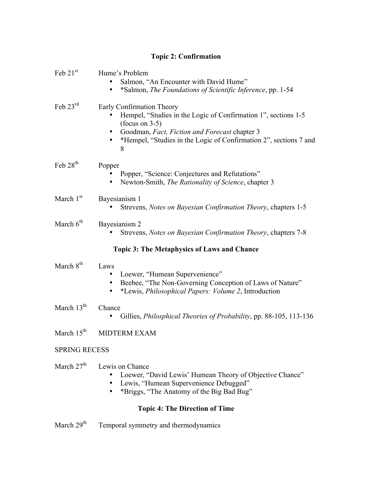## **Topic 2: Confirmation**

| Feb $21st$                                         | Hume's Problem<br>Salmon, "An Encounter with David Hume"<br>*Salmon, The Foundations of Scientific Inference, pp. 1-54                                                                                                                                  |  |  |
|----------------------------------------------------|---------------------------------------------------------------------------------------------------------------------------------------------------------------------------------------------------------------------------------------------------------|--|--|
| Feb $23rd$                                         | Early Confirmation Theory<br>Hempel, "Studies in the Logic of Confirmation 1", sections 1-5<br>$(focus on 3-5)$<br>Goodman, Fact, Fiction and Forecast chapter 3<br>$\bullet$<br>*Hempel, "Studies in the Logic of Confirmation 2", sections 7 and<br>8 |  |  |
| Feb 28 <sup>th</sup>                               | Popper<br>Popper, "Science: Conjectures and Refutations"<br>Newton-Smith, The Rationality of Science, chapter 3                                                                                                                                         |  |  |
| March $1st$                                        | Bayesianism 1<br>Strevens, Notes on Bayesian Confirmation Theory, chapters 1-5                                                                                                                                                                          |  |  |
| March $6th$                                        | Bayesianism 2<br>Strevens, Notes on Bayesian Confirmation Theory, chapters 7-8                                                                                                                                                                          |  |  |
| <b>Topic 3: The Metaphysics of Laws and Chance</b> |                                                                                                                                                                                                                                                         |  |  |
| March $8th$                                        | Laws<br>Loewer, "Humean Supervenience"<br>Beebee, "The Non-Governing Conception of Laws of Nature"<br>*Lewis, <i>Philosophical Papers: Volume 2</i> , Introduction                                                                                      |  |  |
| March $13th$                                       | Chance<br>Gillies, <i>Philosphical Theories of Probability</i> , pp. 88-105, 113-136                                                                                                                                                                    |  |  |
| March $15th$                                       | <b>MIDTERM EXAM</b>                                                                                                                                                                                                                                     |  |  |
| <b>SPRING RECESS</b>                               |                                                                                                                                                                                                                                                         |  |  |
| March $27th$                                       | Lewis on Chance<br>Loewer, "David Lewis' Humean Theory of Objective Chance"<br>Lewis, "Humean Supervenience Debugged"<br>$\bullet$<br>*Briggs, "The Anatomy of the Big Bad Bug"                                                                         |  |  |
| <b>Topic 4: The Direction of Time</b>              |                                                                                                                                                                                                                                                         |  |  |

March 29<sup>th</sup> Temporal symmetry and thermodynamics